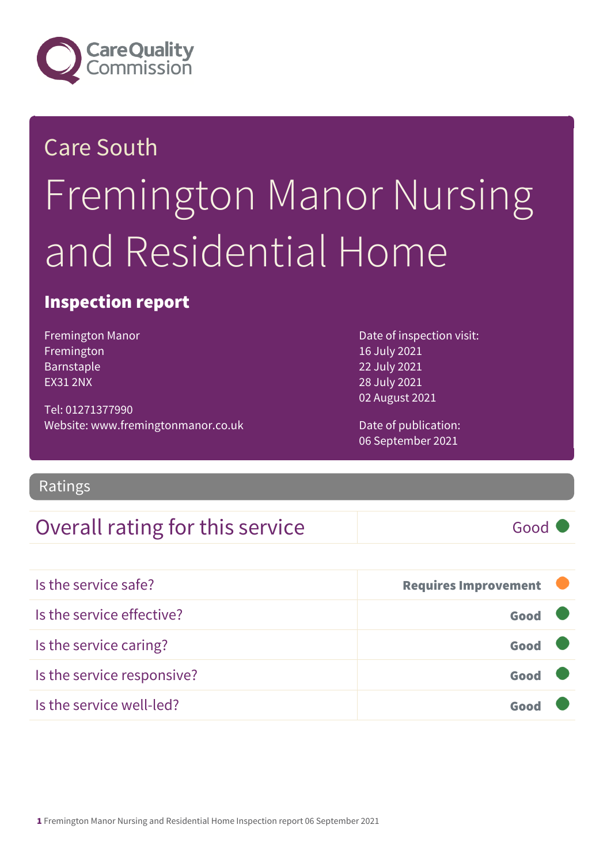

## Care South

# Fremington Manor Nursing and Residential Home

### Inspection report

Fremington Manor Fremington Barnstaple EX31 2NX

Tel: 01271377990 Website: www.fremingtonmanor.co.uk Date of inspection visit: 16 July 2021 22 July 2021 28 July 2021 02 August 2021

Date of publication: 06 September 2021

### Ratings

### Overall rating for this service Fig. 600 Good

| Is the service safe?       | <b>Requires Improvement</b> |  |
|----------------------------|-----------------------------|--|
| Is the service effective?  | Good                        |  |
| Is the service caring?     | Good                        |  |
| Is the service responsive? | Good                        |  |
| Is the service well-led?   |                             |  |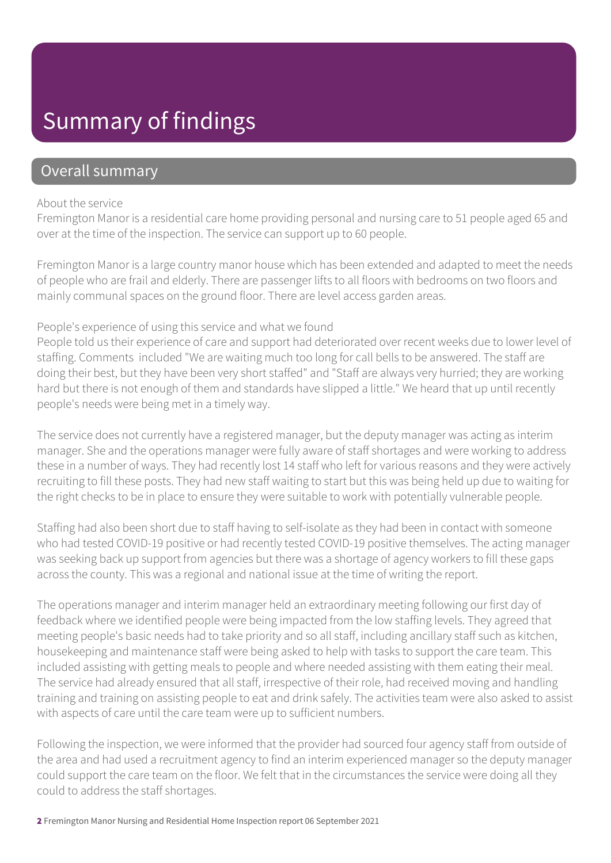### Summary of findings

### Overall summary

#### About the service

Fremington Manor is a residential care home providing personal and nursing care to 51 people aged 65 and over at the time of the inspection. The service can support up to 60 people.

Fremington Manor is a large country manor house which has been extended and adapted to meet the needs of people who are frail and elderly. There are passenger lifts to all floors with bedrooms on two floors and mainly communal spaces on the ground floor. There are level access garden areas.

#### People's experience of using this service and what we found

People told us their experience of care and support had deteriorated over recent weeks due to lower level of staffing. Comments included "We are waiting much too long for call bells to be answered. The staff are doing their best, but they have been very short staffed" and "Staff are always very hurried; they are working hard but there is not enough of them and standards have slipped a little." We heard that up until recently people's needs were being met in a timely way.

The service does not currently have a registered manager, but the deputy manager was acting as interim manager. She and the operations manager were fully aware of staff shortages and were working to address these in a number of ways. They had recently lost 14 staff who left for various reasons and they were actively recruiting to fill these posts. They had new staff waiting to start but this was being held up due to waiting for the right checks to be in place to ensure they were suitable to work with potentially vulnerable people.

Staffing had also been short due to staff having to self-isolate as they had been in contact with someone who had tested COVID-19 positive or had recently tested COVID-19 positive themselves. The acting manager was seeking back up support from agencies but there was a shortage of agency workers to fill these gaps across the county. This was a regional and national issue at the time of writing the report.

The operations manager and interim manager held an extraordinary meeting following our first day of feedback where we identified people were being impacted from the low staffing levels. They agreed that meeting people's basic needs had to take priority and so all staff, including ancillary staff such as kitchen, housekeeping and maintenance staff were being asked to help with tasks to support the care team. This included assisting with getting meals to people and where needed assisting with them eating their meal. The service had already ensured that all staff, irrespective of their role, had received moving and handling training and training on assisting people to eat and drink safely. The activities team were also asked to assist with aspects of care until the care team were up to sufficient numbers.

Following the inspection, we were informed that the provider had sourced four agency staff from outside of the area and had used a recruitment agency to find an interim experienced manager so the deputy manager could support the care team on the floor. We felt that in the circumstances the service were doing all they could to address the staff shortages.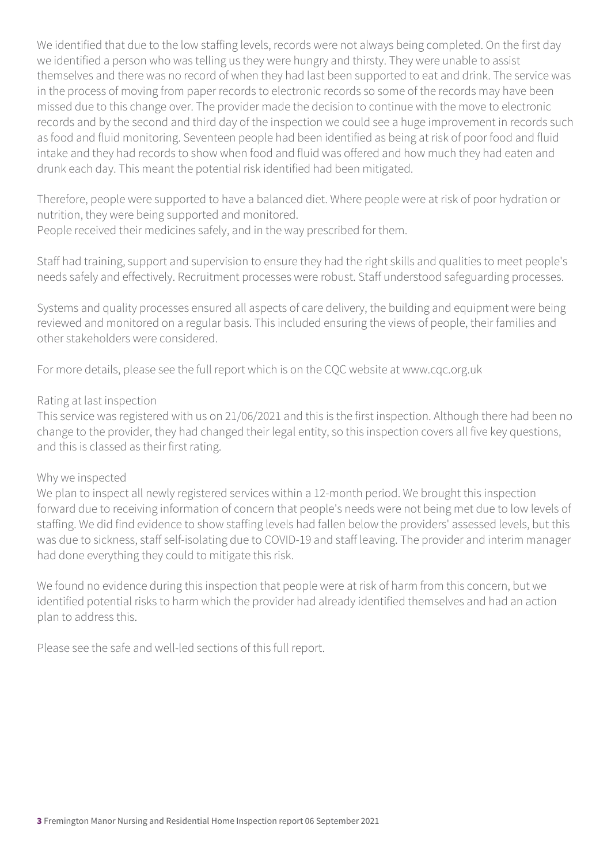We identified that due to the low staffing levels, records were not always being completed. On the first day we identified a person who was telling us they were hungry and thirsty. They were unable to assist themselves and there was no record of when they had last been supported to eat and drink. The service was in the process of moving from paper records to electronic records so some of the records may have been missed due to this change over. The provider made the decision to continue with the move to electronic records and by the second and third day of the inspection we could see a huge improvement in records such as food and fluid monitoring. Seventeen people had been identified as being at risk of poor food and fluid intake and they had records to show when food and fluid was offered and how much they had eaten and drunk each day. This meant the potential risk identified had been mitigated.

Therefore, people were supported to have a balanced diet. Where people were at risk of poor hydration or nutrition, they were being supported and monitored.

People received their medicines safely, and in the way prescribed for them.

Staff had training, support and supervision to ensure they had the right skills and qualities to meet people's needs safely and effectively. Recruitment processes were robust. Staff understood safeguarding processes.

Systems and quality processes ensured all aspects of care delivery, the building and equipment were being reviewed and monitored on a regular basis. This included ensuring the views of people, their families and other stakeholders were considered.

For more details, please see the full report which is on the CQC website at www.cqc.org.uk

#### Rating at last inspection

This service was registered with us on 21/06/2021 and this is the first inspection. Although there had been no change to the provider, they had changed their legal entity, so this inspection covers all five key questions, and this is classed as their first rating.

#### Why we inspected

We plan to inspect all newly registered services within a 12-month period. We brought this inspection forward due to receiving information of concern that people's needs were not being met due to low levels of staffing. We did find evidence to show staffing levels had fallen below the providers' assessed levels, but this was due to sickness, staff self-isolating due to COVID-19 and staff leaving. The provider and interim manager had done everything they could to mitigate this risk.

We found no evidence during this inspection that people were at risk of harm from this concern, but we identified potential risks to harm which the provider had already identified themselves and had an action plan to address this.

Please see the safe and well-led sections of this full report.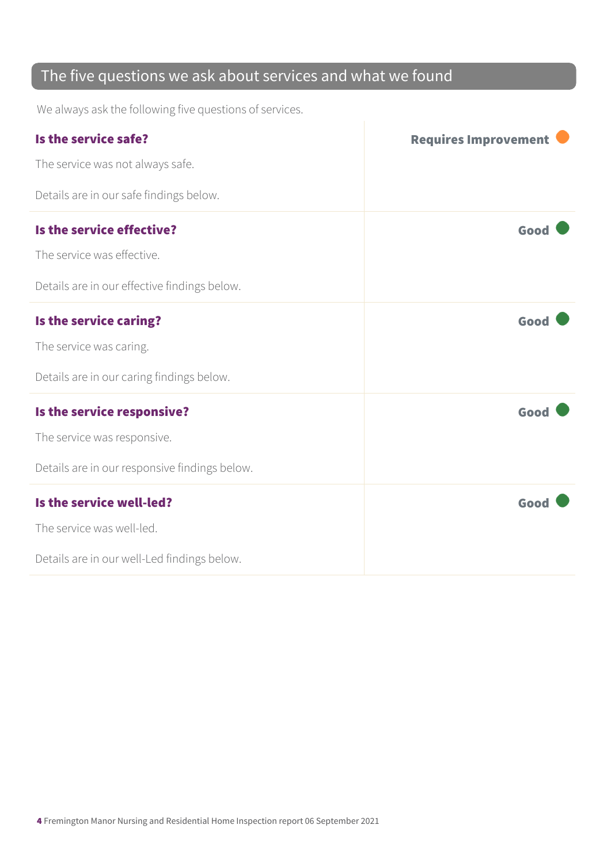### The five questions we ask about services and what we found

We always ask the following five questions of services.

| Is the service safe?                          | <b>Requires Improvement</b> |
|-----------------------------------------------|-----------------------------|
| The service was not always safe.              |                             |
| Details are in our safe findings below.       |                             |
| Is the service effective?                     | Good                        |
| The service was effective.                    |                             |
| Details are in our effective findings below.  |                             |
| Is the service caring?                        | Good                        |
| The service was caring.                       |                             |
| Details are in our caring findings below.     |                             |
| Is the service responsive?                    | Good                        |
| The service was responsive.                   |                             |
| Details are in our responsive findings below. |                             |
| Is the service well-led?                      | Good                        |
| The service was well-led.                     |                             |
| Details are in our well-Led findings below.   |                             |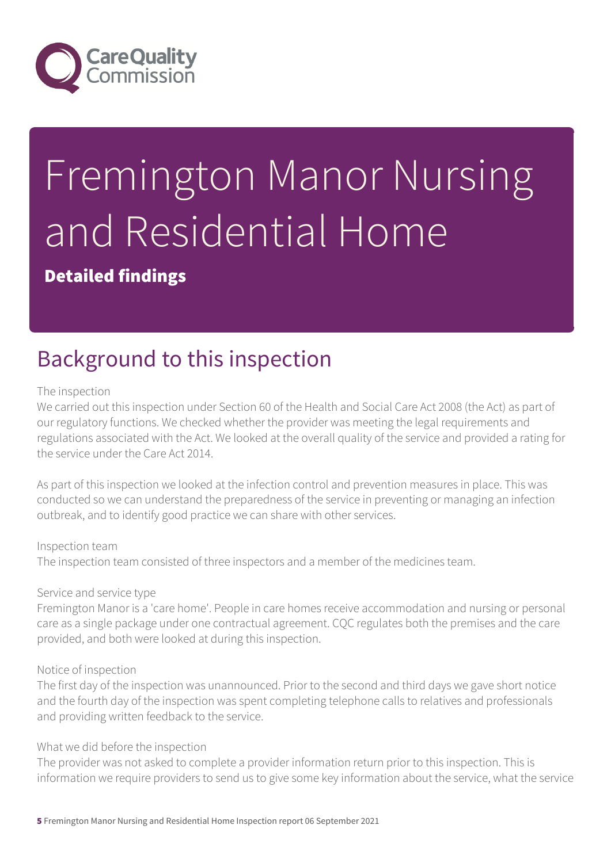

# Fremington Manor Nursing and Residential Home

### Detailed findings

## Background to this inspection

#### The inspection

We carried out this inspection under Section 60 of the Health and Social Care Act 2008 (the Act) as part of our regulatory functions. We checked whether the provider was meeting the legal requirements and regulations associated with the Act. We looked at the overall quality of the service and provided a rating for the service under the Care Act 2014.

As part of this inspection we looked at the infection control and prevention measures in place. This was conducted so we can understand the preparedness of the service in preventing or managing an infection outbreak, and to identify good practice we can share with other services.

#### Inspection team

The inspection team consisted of three inspectors and a member of the medicines team.

#### Service and service type

Fremington Manor is a 'care home'. People in care homes receive accommodation and nursing or personal care as a single package under one contractual agreement. CQC regulates both the premises and the care provided, and both were looked at during this inspection.

#### Notice of inspection

The first day of the inspection was unannounced. Prior to the second and third days we gave short notice and the fourth day of the inspection was spent completing telephone calls to relatives and professionals and providing written feedback to the service.

#### What we did before the inspection

The provider was not asked to complete a provider information return prior to this inspection. This is information we require providers to send us to give some key information about the service, what the service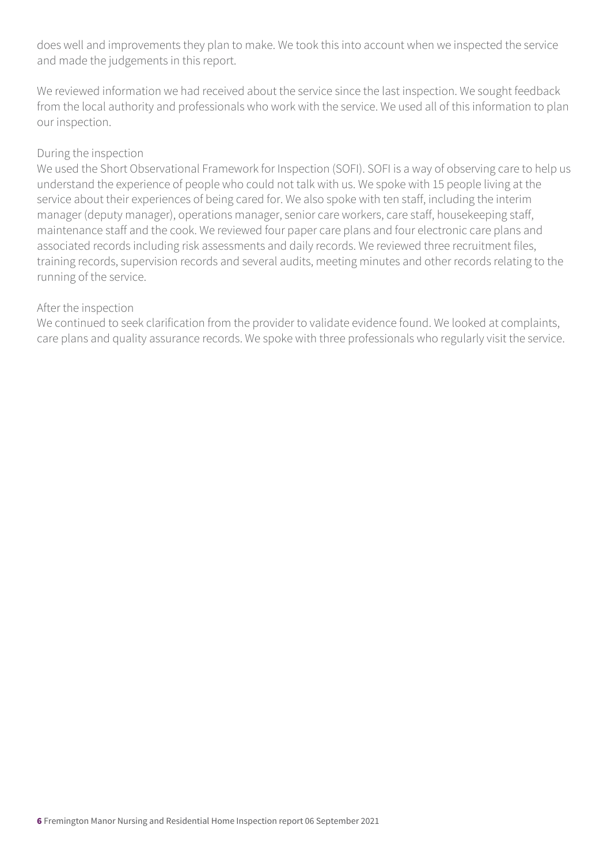does well and improvements they plan to make. We took this into account when we inspected the service and made the judgements in this report.

We reviewed information we had received about the service since the last inspection. We sought feedback from the local authority and professionals who work with the service. We used all of this information to plan our inspection.

#### During the inspection

We used the Short Observational Framework for Inspection (SOFI). SOFI is a way of observing care to help us understand the experience of people who could not talk with us. We spoke with 15 people living at the service about their experiences of being cared for. We also spoke with ten staff, including the interim manager (deputy manager), operations manager, senior care workers, care staff, housekeeping staff, maintenance staff and the cook. We reviewed four paper care plans and four electronic care plans and associated records including risk assessments and daily records. We reviewed three recruitment files, training records, supervision records and several audits, meeting minutes and other records relating to the running of the service.

#### After the inspection

We continued to seek clarification from the provider to validate evidence found. We looked at complaints, care plans and quality assurance records. We spoke with three professionals who regularly visit the service.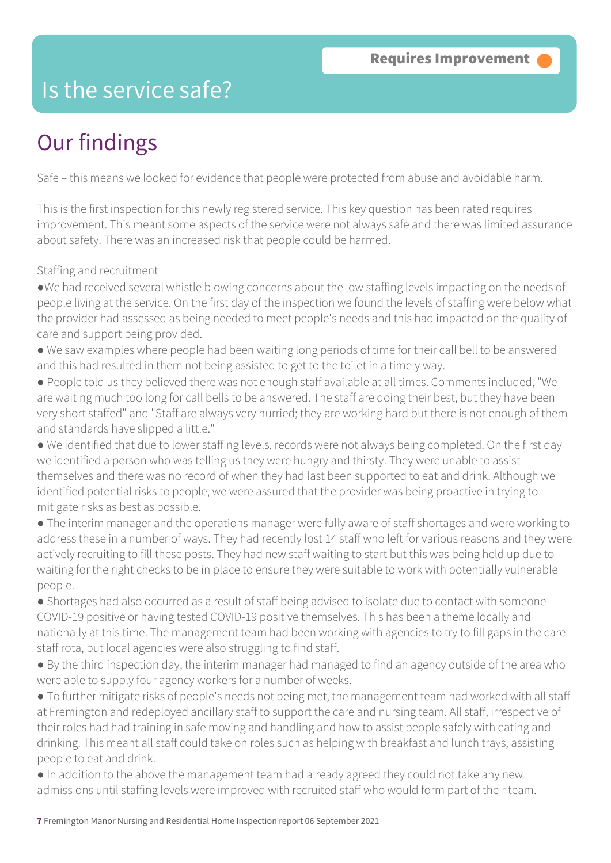### Is the service safe?

# Our findings

Safe – this means we looked for evidence that people were protected from abuse and avoidable harm.

This is the first inspection for this newly registered service. This key question has been rated requires improvement. This meant some aspects of the service were not always safe and there was limited assurance about safety. There was an increased risk that people could be harmed.

Staffing and recruitment

- ●We had received several whistle blowing concerns about the low staffing levels impacting on the needs of people living at the service. On the first day of the inspection we found the levels of staffing were below what the provider had assessed as being needed to meet people's needs and this had impacted on the quality of care and support being provided.
- We saw examples where people had been waiting long periods of time for their call bell to be answered and this had resulted in them not being assisted to get to the toilet in a timely way.
- People told us they believed there was not enough staff available at all times. Comments included, "We are waiting much too long for call bells to be answered. The staff are doing their best, but they have been very short staffed" and "Staff are always very hurried; they are working hard but there is not enough of them and standards have slipped a little."
- We identified that due to lower staffing levels, records were not always being completed. On the first day we identified a person who was telling us they were hungry and thirsty. They were unable to assist themselves and there was no record of when they had last been supported to eat and drink. Although we identified potential risks to people, we were assured that the provider was being proactive in trying to mitigate risks as best as possible.
- The interim manager and the operations manager were fully aware of staff shortages and were working to address these in a number of ways. They had recently lost 14 staff who left for various reasons and they were actively recruiting to fill these posts. They had new staff waiting to start but this was being held up due to waiting for the right checks to be in place to ensure they were suitable to work with potentially vulnerable people.
- Shortages had also occurred as a result of staff being advised to isolate due to contact with someone COVID-19 positive or having tested COVID-19 positive themselves. This has been a theme locally and nationally at this time. The management team had been working with agencies to try to fill gaps in the care staff rota, but local agencies were also struggling to find staff.
- By the third inspection day, the interim manager had managed to find an agency outside of the area who were able to supply four agency workers for a number of weeks.
- To further mitigate risks of people's needs not being met, the management team had worked with all staff at Fremington and redeployed ancillary staff to support the care and nursing team. All staff, irrespective of their roles had had training in safe moving and handling and how to assist people safely with eating and drinking. This meant all staff could take on roles such as helping with breakfast and lunch trays, assisting people to eat and drink.
- In addition to the above the management team had already agreed they could not take any new admissions until staffing levels were improved with recruited staff who would form part of their team.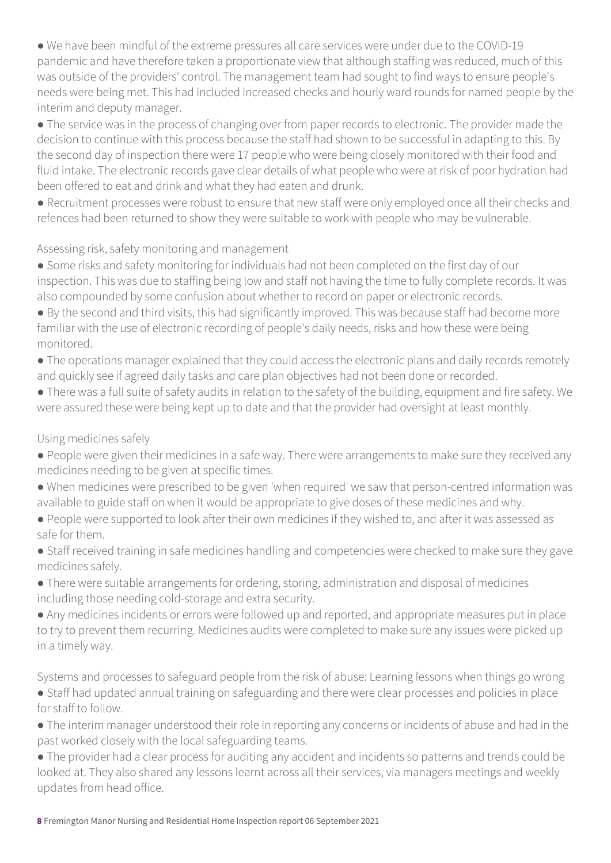● We have been mindful of the extreme pressures all care services were under due to the COVID-19 pandemic and have therefore taken a proportionate view that although staffing was reduced, much of this was outside of the providers' control. The management team had sought to find ways to ensure people's needs were being met. This had included increased checks and hourly ward rounds for named people by the interim and deputy manager.

● The service was in the process of changing over from paper records to electronic. The provider made the decision to continue with this process because the staff had shown to be successful in adapting to this. By the second day of inspection there were 17 people who were being closely monitored with their food and fluid intake. The electronic records gave clear details of what people who were at risk of poor hydration had been offered to eat and drink and what they had eaten and drunk.

● Recruitment processes were robust to ensure that new staff were only employed once all their checks and refences had been returned to show they were suitable to work with people who may be vulnerable.

#### Assessing risk, safety monitoring and management

- Some risks and safety monitoring for individuals had not been completed on the first day of our inspection. This was due to staffing being low and staff not having the time to fully complete records. It was also compounded by some confusion about whether to record on paper or electronic records.
- By the second and third visits, this had significantly improved. This was because staff had become more familiar with the use of electronic recording of people's daily needs, risks and how these were being monitored.
- The operations manager explained that they could access the electronic plans and daily records remotely and quickly see if agreed daily tasks and care plan objectives had not been done or recorded.
- There was a full suite of safety audits in relation to the safety of the building, equipment and fire safety. We were assured these were being kept up to date and that the provider had oversight at least monthly.

#### Using medicines safely

- People were given their medicines in a safe way. There were arrangements to make sure they received any medicines needing to be given at specific times.
- When medicines were prescribed to be given 'when required' we saw that person-centred information was available to guide staff on when it would be appropriate to give doses of these medicines and why.
- People were supported to look after their own medicines if they wished to, and after it was assessed as safe for them.
- Staff received training in safe medicines handling and competencies were checked to make sure they gave medicines safely.
- There were suitable arrangements for ordering, storing, administration and disposal of medicines including those needing cold-storage and extra security.
- Any medicines incidents or errors were followed up and reported, and appropriate measures put in place to try to prevent them recurring. Medicines audits were completed to make sure any issues were picked up in a timely way.

Systems and processes to safeguard people from the risk of abuse: Learning lessons when things go wrong

- Staff had updated annual training on safeguarding and there were clear processes and policies in place for staff to follow.
- The interim manager understood their role in reporting any concerns or incidents of abuse and had in the past worked closely with the local safeguarding teams.
- The provider had a clear process for auditing any accident and incidents so patterns and trends could be looked at. They also shared any lessons learnt across all their services, via managers meetings and weekly updates from head office.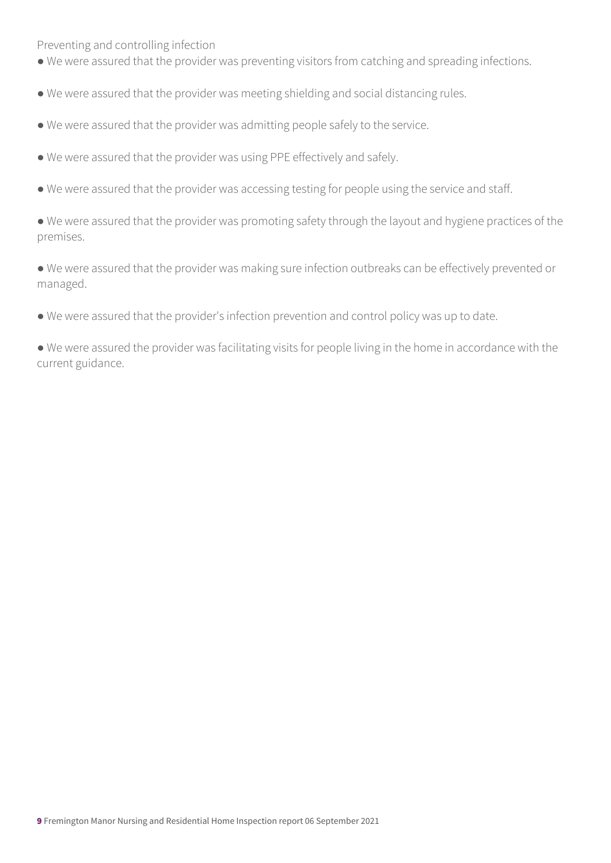Preventing and controlling infection

- We were assured that the provider was preventing visitors from catching and spreading infections.
- We were assured that the provider was meeting shielding and social distancing rules.
- We were assured that the provider was admitting people safely to the service.
- We were assured that the provider was using PPE effectively and safely.
- We were assured that the provider was accessing testing for people using the service and staff.
- We were assured that the provider was promoting safety through the layout and hygiene practices of the premises.
- We were assured that the provider was making sure infection outbreaks can be effectively prevented or managed.
- We were assured that the provider's infection prevention and control policy was up to date.

● We were assured the provider was facilitating visits for people living in the home in accordance with the current guidance.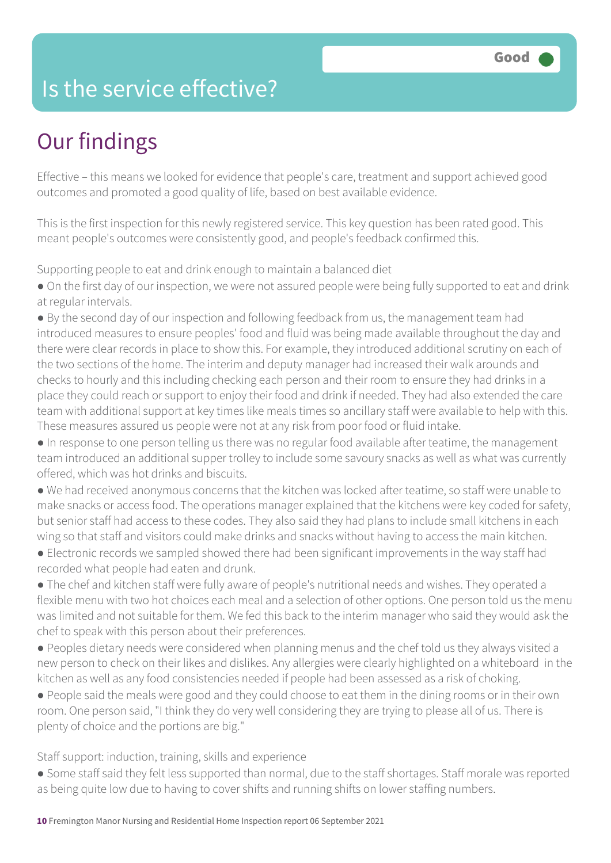### Is the service effective?

# Our findings

Effective – this means we looked for evidence that people's care, treatment and support achieved good outcomes and promoted a good quality of life, based on best available evidence.

This is the first inspection for this newly registered service. This key question has been rated good. This meant people's outcomes were consistently good, and people's feedback confirmed this.

Supporting people to eat and drink enough to maintain a balanced diet

• On the first day of our inspection, we were not assured people were being fully supported to eat and drink at regular intervals.

● By the second day of our inspection and following feedback from us, the management team had introduced measures to ensure peoples' food and fluid was being made available throughout the day and there were clear records in place to show this. For example, they introduced additional scrutiny on each of the two sections of the home. The interim and deputy manager had increased their walk arounds and checks to hourly and this including checking each person and their room to ensure they had drinks in a place they could reach or support to enjoy their food and drink if needed. They had also extended the care team with additional support at key times like meals times so ancillary staff were available to help with this. These measures assured us people were not at any risk from poor food or fluid intake.

● In response to one person telling us there was no regular food available after teatime, the management team introduced an additional supper trolley to include some savoury snacks as well as what was currently offered, which was hot drinks and biscuits.

● We had received anonymous concerns that the kitchen was locked after teatime, so staff were unable to make snacks or access food. The operations manager explained that the kitchens were key coded for safety, but senior staff had access to these codes. They also said they had plans to include small kitchens in each wing so that staff and visitors could make drinks and snacks without having to access the main kitchen.

● Electronic records we sampled showed there had been significant improvements in the way staff had recorded what people had eaten and drunk.

● The chef and kitchen staff were fully aware of people's nutritional needs and wishes. They operated a flexible menu with two hot choices each meal and a selection of other options. One person told us the menu was limited and not suitable for them. We fed this back to the interim manager who said they would ask the chef to speak with this person about their preferences.

● Peoples dietary needs were considered when planning menus and the chef told us they always visited a new person to check on their likes and dislikes. Any allergies were clearly highlighted on a whiteboard in the kitchen as well as any food consistencies needed if people had been assessed as a risk of choking.

● People said the meals were good and they could choose to eat them in the dining rooms or in their own room. One person said, "I think they do very well considering they are trying to please all of us. There is plenty of choice and the portions are big."

Staff support: induction, training, skills and experience

● Some staff said they felt less supported than normal, due to the staff shortages. Staff morale was reported as being quite low due to having to cover shifts and running shifts on lower staffing numbers.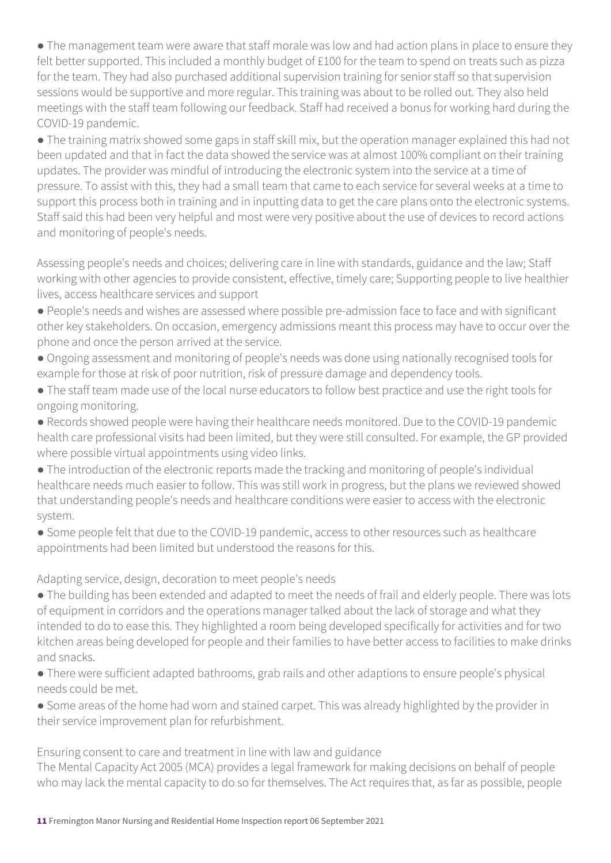• The management team were aware that staff morale was low and had action plans in place to ensure they felt better supported. This included a monthly budget of £100 for the team to spend on treats such as pizza for the team. They had also purchased additional supervision training for senior staff so that supervision sessions would be supportive and more regular. This training was about to be rolled out. They also held meetings with the staff team following our feedback. Staff had received a bonus for working hard during the COVID-19 pandemic.

● The training matrix showed some gaps in staff skill mix, but the operation manager explained this had not been updated and that in fact the data showed the service was at almost 100% compliant on their training updates. The provider was mindful of introducing the electronic system into the service at a time of pressure. To assist with this, they had a small team that came to each service for several weeks at a time to support this process both in training and in inputting data to get the care plans onto the electronic systems. Staff said this had been very helpful and most were very positive about the use of devices to record actions and monitoring of people's needs.

Assessing people's needs and choices; delivering care in line with standards, guidance and the law; Staff working with other agencies to provide consistent, effective, timely care; Supporting people to live healthier lives, access healthcare services and support

- People's needs and wishes are assessed where possible pre-admission face to face and with significant other key stakeholders. On occasion, emergency admissions meant this process may have to occur over the phone and once the person arrived at the service.
- Ongoing assessment and monitoring of people's needs was done using nationally recognised tools for example for those at risk of poor nutrition, risk of pressure damage and dependency tools.
- The staff team made use of the local nurse educators to follow best practice and use the right tools for ongoing monitoring.
- Records showed people were having their healthcare needs monitored. Due to the COVID-19 pandemic health care professional visits had been limited, but they were still consulted. For example, the GP provided where possible virtual appointments using video links.
- The introduction of the electronic reports made the tracking and monitoring of people's individual healthcare needs much easier to follow. This was still work in progress, but the plans we reviewed showed that understanding people's needs and healthcare conditions were easier to access with the electronic system.
- Some people felt that due to the COVID-19 pandemic, access to other resources such as healthcare appointments had been limited but understood the reasons for this.

#### Adapting service, design, decoration to meet people's needs

- The building has been extended and adapted to meet the needs of frail and elderly people. There was lots of equipment in corridors and the operations manager talked about the lack of storage and what they intended to do to ease this. They highlighted a room being developed specifically for activities and for two kitchen areas being developed for people and their families to have better access to facilities to make drinks and snacks.
- There were sufficient adapted bathrooms, grab rails and other adaptions to ensure people's physical needs could be met.
- Some areas of the home had worn and stained carpet. This was already highlighted by the provider in their service improvement plan for refurbishment.

Ensuring consent to care and treatment in line with law and guidance

The Mental Capacity Act 2005 (MCA) provides a legal framework for making decisions on behalf of people who may lack the mental capacity to do so for themselves. The Act requires that, as far as possible, people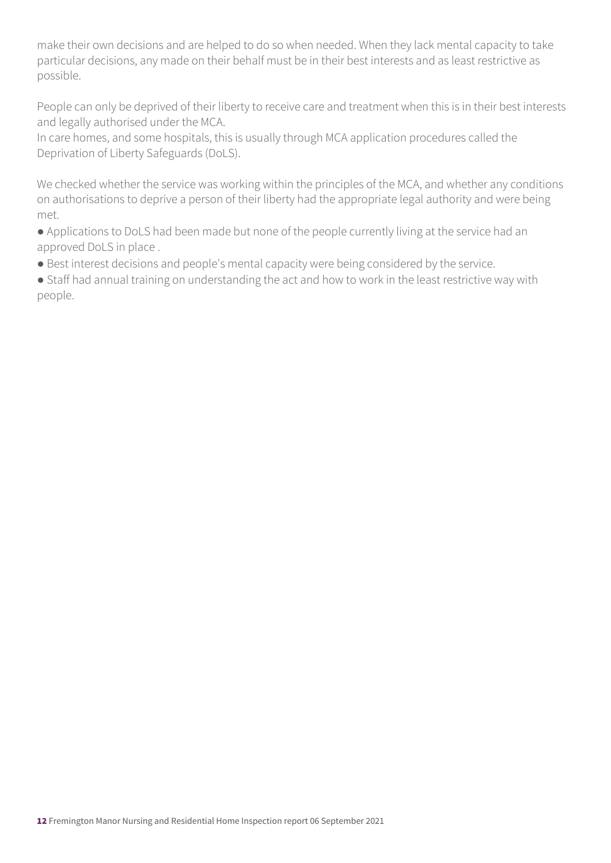make their own decisions and are helped to do so when needed. When they lack mental capacity to take particular decisions, any made on their behalf must be in their best interests and as least restrictive as possible.

People can only be deprived of their liberty to receive care and treatment when this is in their best interests and legally authorised under the MCA.

In care homes, and some hospitals, this is usually through MCA application procedures called the Deprivation of Liberty Safeguards (DoLS).

We checked whether the service was working within the principles of the MCA, and whether any conditions on authorisations to deprive a person of their liberty had the appropriate legal authority and were being met.

● Applications to DoLS had been made but none of the people currently living at the service had an approved DoLS in place .

● Best interest decisions and people's mental capacity were being considered by the service.

● Staff had annual training on understanding the act and how to work in the least restrictive way with people.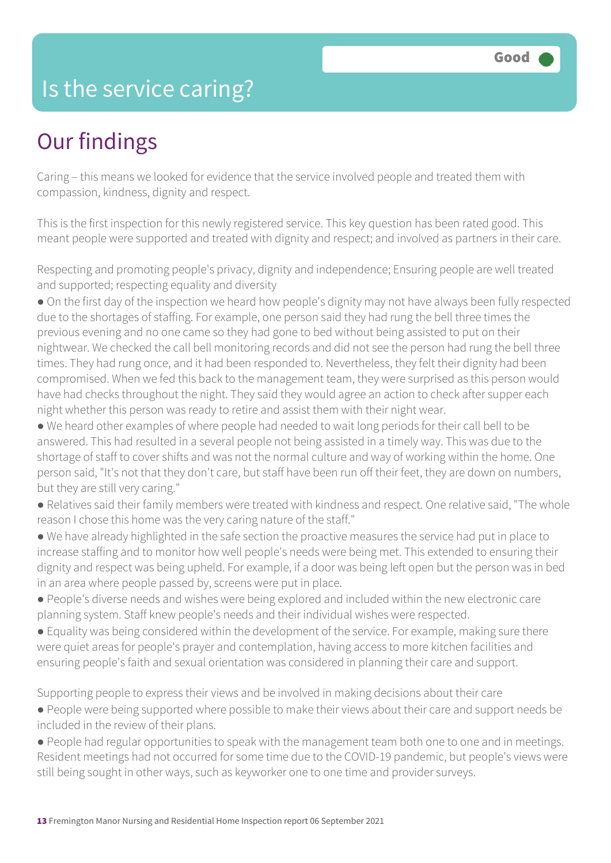### Is the service caring?

### Our findings

Caring – this means we looked for evidence that the service involved people and treated them with compassion, kindness, dignity and respect.

This is the first inspection for this newly registered service. This key question has been rated good. This meant people were supported and treated with dignity and respect; and involved as partners in their care.

Respecting and promoting people's privacy, dignity and independence; Ensuring people are well treated and supported; respecting equality and diversity

• On the first day of the inspection we heard how people's dignity may not have always been fully respected due to the shortages of staffing. For example, one person said they had rung the bell three times the previous evening and no one came so they had gone to bed without being assisted to put on their nightwear. We checked the call bell monitoring records and did not see the person had rung the bell three times. They had rung once, and it had been responded to. Nevertheless, they felt their dignity had been compromised. When we fed this back to the management team, they were surprised as this person would have had checks throughout the night. They said they would agree an action to check after supper each night whether this person was ready to retire and assist them with their night wear.

● We heard other examples of where people had needed to wait long periods for their call bell to be answered. This had resulted in a several people not being assisted in a timely way. This was due to the shortage of staff to cover shifts and was not the normal culture and way of working within the home. One person said, "It's not that they don't care, but staff have been run off their feet, they are down on numbers, but they are still very caring."

● Relatives said their family members were treated with kindness and respect. One relative said, "The whole reason I chose this home was the very caring nature of the staff."

● We have already highlighted in the safe section the proactive measures the service had put in place to increase staffing and to monitor how well people's needs were being met. This extended to ensuring their dignity and respect was being upheld. For example, if a door was being left open but the person was in bed in an area where people passed by, screens were put in place.

● People's diverse needs and wishes were being explored and included within the new electronic care planning system. Staff knew people's needs and their individual wishes were respected.

● Equality was being considered within the development of the service. For example, making sure there were quiet areas for people's prayer and contemplation, having access to more kitchen facilities and ensuring people's faith and sexual orientation was considered in planning their care and support.

Supporting people to express their views and be involved in making decisions about their care

● People were being supported where possible to make their views about their care and support needs be included in the review of their plans.

● People had regular opportunities to speak with the management team both one to one and in meetings. Resident meetings had not occurred for some time due to the COVID-19 pandemic, but people's views were still being sought in other ways, such as keyworker one to one time and provider surveys.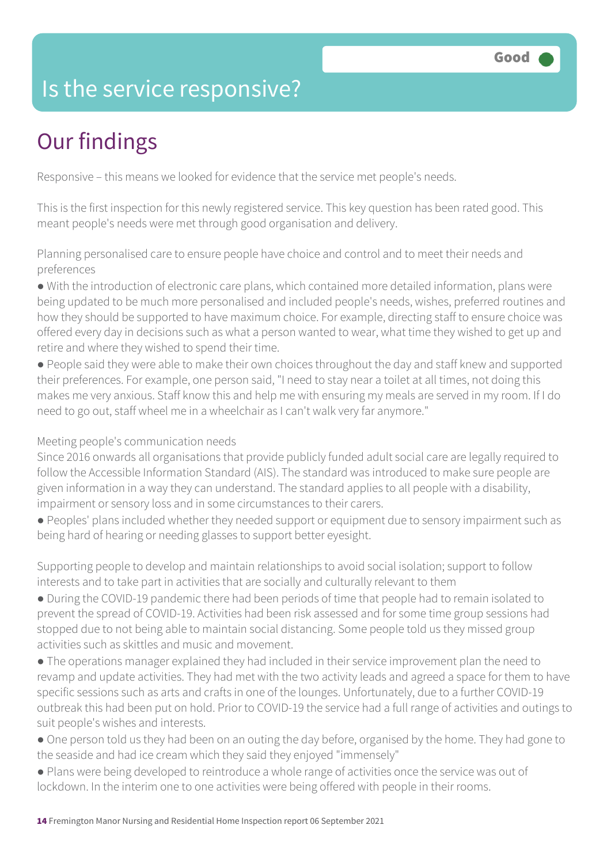### Is the service responsive?

# Our findings

Responsive – this means we looked for evidence that the service met people's needs.

This is the first inspection for this newly registered service. This key question has been rated good. This meant people's needs were met through good organisation and delivery.

Planning personalised care to ensure people have choice and control and to meet their needs and preferences

● With the introduction of electronic care plans, which contained more detailed information, plans were being updated to be much more personalised and included people's needs, wishes, preferred routines and how they should be supported to have maximum choice. For example, directing staff to ensure choice was offered every day in decisions such as what a person wanted to wear, what time they wished to get up and retire and where they wished to spend their time.

● People said they were able to make their own choices throughout the day and staff knew and supported their preferences. For example, one person said, "I need to stay near a toilet at all times, not doing this makes me very anxious. Staff know this and help me with ensuring my meals are served in my room. If I do need to go out, staff wheel me in a wheelchair as I can't walk very far anymore."

Meeting people's communication needs

Since 2016 onwards all organisations that provide publicly funded adult social care are legally required to follow the Accessible Information Standard (AIS). The standard was introduced to make sure people are given information in a way they can understand. The standard applies to all people with a disability, impairment or sensory loss and in some circumstances to their carers.

● Peoples' plans included whether they needed support or equipment due to sensory impairment such as being hard of hearing or needing glasses to support better eyesight.

Supporting people to develop and maintain relationships to avoid social isolation; support to follow interests and to take part in activities that are socially and culturally relevant to them

- During the COVID-19 pandemic there had been periods of time that people had to remain isolated to prevent the spread of COVID-19. Activities had been risk assessed and for some time group sessions had stopped due to not being able to maintain social distancing. Some people told us they missed group activities such as skittles and music and movement.
- The operations manager explained they had included in their service improvement plan the need to revamp and update activities. They had met with the two activity leads and agreed a space for them to have specific sessions such as arts and crafts in one of the lounges. Unfortunately, due to a further COVID-19 outbreak this had been put on hold. Prior to COVID-19 the service had a full range of activities and outings to suit people's wishes and interests.
- One person told us they had been on an outing the day before, organised by the home. They had gone to the seaside and had ice cream which they said they enjoyed "immensely"
- Plans were being developed to reintroduce a whole range of activities once the service was out of lockdown. In the interim one to one activities were being offered with people in their rooms.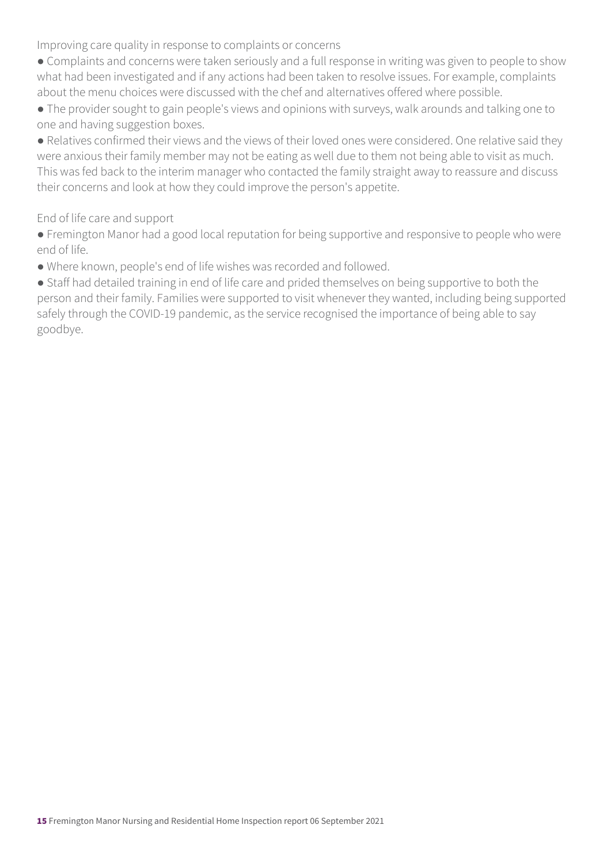Improving care quality in response to complaints or concerns

- Complaints and concerns were taken seriously and a full response in writing was given to people to show what had been investigated and if any actions had been taken to resolve issues. For example, complaints about the menu choices were discussed with the chef and alternatives offered where possible.
- The provider sought to gain people's views and opinions with surveys, walk arounds and talking one to one and having suggestion boxes.
- Relatives confirmed their views and the views of their loved ones were considered. One relative said they were anxious their family member may not be eating as well due to them not being able to visit as much. This was fed back to the interim manager who contacted the family straight away to reassure and discuss their concerns and look at how they could improve the person's appetite.

#### End of life care and support

- Fremington Manor had a good local reputation for being supportive and responsive to people who were end of life.
- Where known, people's end of life wishes was recorded and followed.
- Staff had detailed training in end of life care and prided themselves on being supportive to both the person and their family. Families were supported to visit whenever they wanted, including being supported safely through the COVID-19 pandemic, as the service recognised the importance of being able to say goodbye.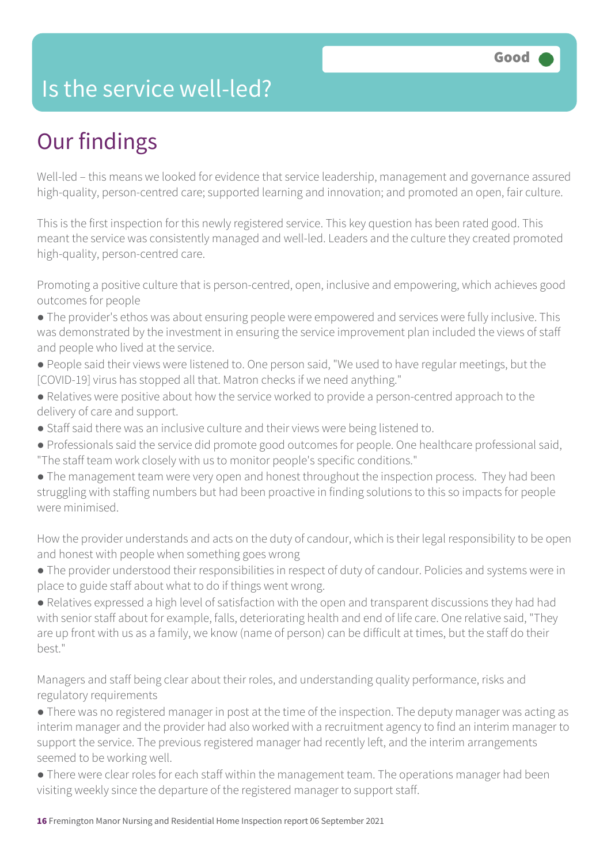### Is the service well-led?

# Our findings

Well-led – this means we looked for evidence that service leadership, management and governance assured high-quality, person-centred care; supported learning and innovation; and promoted an open, fair culture.

This is the first inspection for this newly registered service. This key question has been rated good. This meant the service was consistently managed and well-led. Leaders and the culture they created promoted high-quality, person-centred care.

Promoting a positive culture that is person-centred, open, inclusive and empowering, which achieves good outcomes for people

- The provider's ethos was about ensuring people were empowered and services were fully inclusive. This was demonstrated by the investment in ensuring the service improvement plan included the views of staff and people who lived at the service.
- People said their views were listened to. One person said, "We used to have regular meetings, but the [COVID-19] virus has stopped all that. Matron checks if we need anything."
- Relatives were positive about how the service worked to provide a person-centred approach to the delivery of care and support.
- Staff said there was an inclusive culture and their views were being listened to.
- Professionals said the service did promote good outcomes for people. One healthcare professional said, "The staff team work closely with us to monitor people's specific conditions."
- The management team were very open and honest throughout the inspection process. They had been struggling with staffing numbers but had been proactive in finding solutions to this so impacts for people were minimised.

How the provider understands and acts on the duty of candour, which is their legal responsibility to be open and honest with people when something goes wrong

- The provider understood their responsibilities in respect of duty of candour. Policies and systems were in place to guide staff about what to do if things went wrong.
- Relatives expressed a high level of satisfaction with the open and transparent discussions they had had with senior staff about for example, falls, deteriorating health and end of life care. One relative said, "They are up front with us as a family, we know (name of person) can be difficult at times, but the staff do their best."

Managers and staff being clear about their roles, and understanding quality performance, risks and regulatory requirements

- There was no registered manager in post at the time of the inspection. The deputy manager was acting as interim manager and the provider had also worked with a recruitment agency to find an interim manager to support the service. The previous registered manager had recently left, and the interim arrangements seemed to be working well.
- There were clear roles for each staff within the management team. The operations manager had been visiting weekly since the departure of the registered manager to support staff.